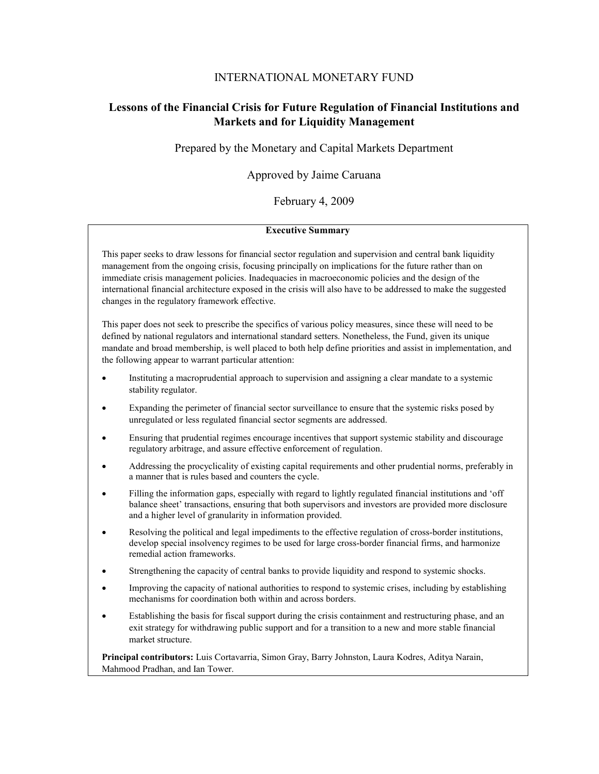#### INTERNATIONAL MONETARY FUND

# **Lessons of the Financial Crisis for Future Regulation of Financial Institutions and Markets and for Liquidity Management**

Prepared by the Monetary and Capital Markets Department

Approved by Jaime Caruana

February 4, 2009

#### **Executive Summary**

This paper seeks to draw lessons for financial sector regulation and supervision and central bank liquidity management from the ongoing crisis, focusing principally on implications for the future rather than on immediate crisis management policies. Inadequacies in macroeconomic policies and the design of the international financial architecture exposed in the crisis will also have to be addressed to make the suggested changes in the regulatory framework effective.

This paper does not seek to prescribe the specifics of various policy measures, since these will need to be defined by national regulators and international standard setters. Nonetheless, the Fund, given its unique mandate and broad membership, is well placed to both help define priorities and assist in implementation, and the following appear to warrant particular attention:

- Instituting a macroprudential approach to supervision and assigning a clear mandate to a systemic stability regulator.
- Expanding the perimeter of financial sector surveillance to ensure that the systemic risks posed by unregulated or less regulated financial sector segments are addressed.
- Ensuring that prudential regimes encourage incentives that support systemic stability and discourage regulatory arbitrage, and assure effective enforcement of regulation.
- Addressing the procyclicality of existing capital requirements and other prudential norms, preferably in a manner that is rules based and counters the cycle.
- Filling the information gaps, especially with regard to lightly regulated financial institutions and 'off balance sheet' transactions, ensuring that both supervisors and investors are provided more disclosure and a higher level of granularity in information provided.
- Resolving the political and legal impediments to the effective regulation of cross-border institutions, develop special insolvency regimes to be used for large cross-border financial firms, and harmonize remedial action frameworks.
- Strengthening the capacity of central banks to provide liquidity and respond to systemic shocks.
- Improving the capacity of national authorities to respond to systemic crises, including by establishing mechanisms for coordination both within and across borders.
- Establishing the basis for fiscal support during the crisis containment and restructuring phase, and an exit strategy for withdrawing public support and for a transition to a new and more stable financial market structure.

**Principal contributors:** Luis Cortavarria, Simon Gray, Barry Johnston, Laura Kodres, Aditya Narain, Mahmood Pradhan, and Ian Tower.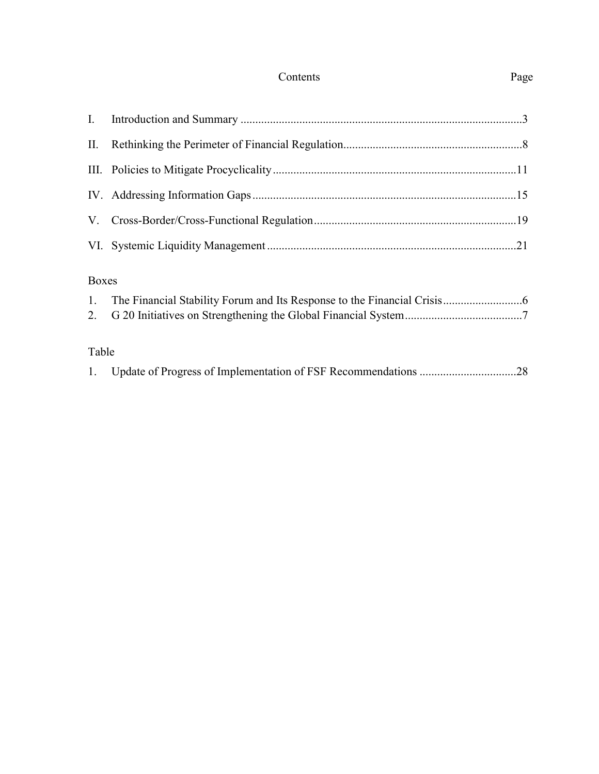# Contents Page

# Boxes

| Table |  |  |  |
|-------|--|--|--|
|       |  |  |  |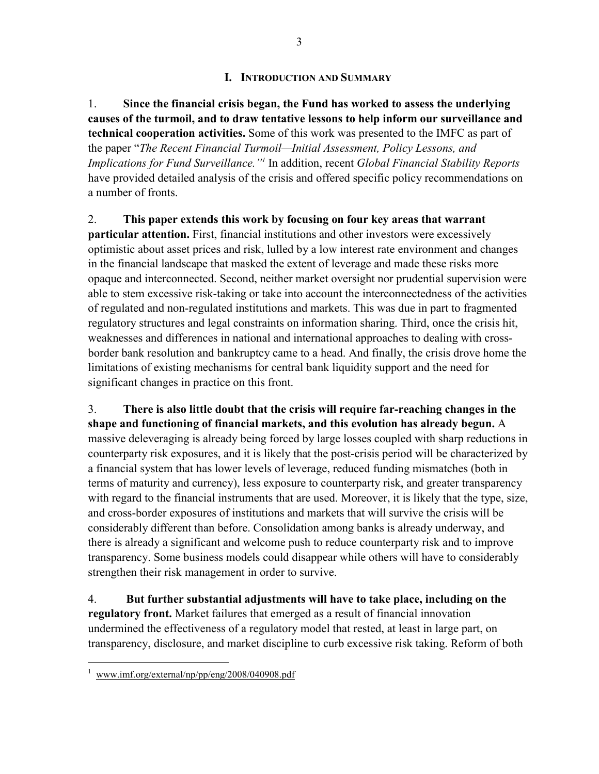### **I. INTRODUCTION AND SUMMARY**

1. **Since the financial crisis began, the Fund has worked to assess the underlying causes of the turmoil, and to draw tentative lessons to help inform our surveillance and technical cooperation activities.** Some of this work was presented to the IMFC as part of the paper "*The Recent Financial Turmoil—Initial Assessment, Policy Lessons, and Implications for Fund Surveillance."1* In addition, recent *Global Financial Stability Reports* have provided detailed analysis of the crisis and offered specific policy recommendations on a number of fronts.

2. **This paper extends this work by focusing on four key areas that warrant particular attention.** First, financial institutions and other investors were excessively optimistic about asset prices and risk, lulled by a low interest rate environment and changes in the financial landscape that masked the extent of leverage and made these risks more opaque and interconnected. Second, neither market oversight nor prudential supervision were able to stem excessive risk-taking or take into account the interconnectedness of the activities of regulated and non-regulated institutions and markets. This was due in part to fragmented regulatory structures and legal constraints on information sharing. Third, once the crisis hit, weaknesses and differences in national and international approaches to dealing with crossborder bank resolution and bankruptcy came to a head. And finally, the crisis drove home the limitations of existing mechanisms for central bank liquidity support and the need for significant changes in practice on this front.

3. **There is also little doubt that the crisis will require far-reaching changes in the shape and functioning of financial markets, and this evolution has already begun.** A massive deleveraging is already being forced by large losses coupled with sharp reductions in counterparty risk exposures, and it is likely that the post-crisis period will be characterized by a financial system that has lower levels of leverage, reduced funding mismatches (both in terms of maturity and currency), less exposure to counterparty risk, and greater transparency with regard to the financial instruments that are used. Moreover, it is likely that the type, size, and cross-border exposures of institutions and markets that will survive the crisis will be considerably different than before. Consolidation among banks is already underway, and there is already a significant and welcome push to reduce counterparty risk and to improve transparency. Some business models could disappear while others will have to considerably strengthen their risk management in order to survive.

4. **But further substantial adjustments will have to take place, including on the regulatory front.** Market failures that emerged as a result of financial innovation undermined the effectiveness of a regulatory model that rested, at least in large part, on transparency, disclosure, and market discipline to curb excessive risk taking. Reform of both

1

<sup>1</sup> www.imf.org/external/np/pp/eng/2008/040908.pdf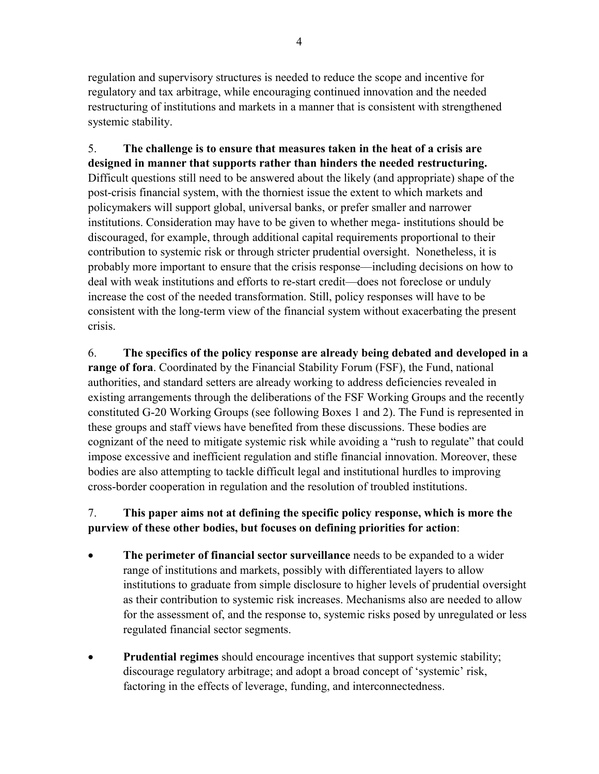regulation and supervisory structures is needed to reduce the scope and incentive for regulatory and tax arbitrage, while encouraging continued innovation and the needed restructuring of institutions and markets in a manner that is consistent with strengthened systemic stability.

5. **The challenge is to ensure that measures taken in the heat of a crisis are designed in manner that supports rather than hinders the needed restructuring.**  Difficult questions still need to be answered about the likely (and appropriate) shape of the post-crisis financial system, with the thorniest issue the extent to which markets and policymakers will support global, universal banks, or prefer smaller and narrower institutions. Consideration may have to be given to whether mega- institutions should be discouraged, for example, through additional capital requirements proportional to their contribution to systemic risk or through stricter prudential oversight. Nonetheless, it is probably more important to ensure that the crisis response—including decisions on how to deal with weak institutions and efforts to re-start credit—does not foreclose or unduly increase the cost of the needed transformation. Still, policy responses will have to be consistent with the long-term view of the financial system without exacerbating the present crisis.

6. **The specifics of the policy response are already being debated and developed in a range of fora**. Coordinated by the Financial Stability Forum (FSF), the Fund, national authorities, and standard setters are already working to address deficiencies revealed in existing arrangements through the deliberations of the FSF Working Groups and the recently constituted G-20 Working Groups (see following Boxes 1 and 2). The Fund is represented in these groups and staff views have benefited from these discussions. These bodies are cognizant of the need to mitigate systemic risk while avoiding a "rush to regulate" that could impose excessive and inefficient regulation and stifle financial innovation. Moreover, these bodies are also attempting to tackle difficult legal and institutional hurdles to improving cross-border cooperation in regulation and the resolution of troubled institutions.

# 7. **This paper aims not at defining the specific policy response, which is more the purview of these other bodies, but focuses on defining priorities for action**:

- **The perimeter of financial sector surveillance** needs to be expanded to a wider range of institutions and markets, possibly with differentiated layers to allow institutions to graduate from simple disclosure to higher levels of prudential oversight as their contribution to systemic risk increases. Mechanisms also are needed to allow for the assessment of, and the response to, systemic risks posed by unregulated or less regulated financial sector segments.
- **Prudential regimes** should encourage incentives that support systemic stability; discourage regulatory arbitrage; and adopt a broad concept of 'systemic' risk, factoring in the effects of leverage, funding, and interconnectedness.

4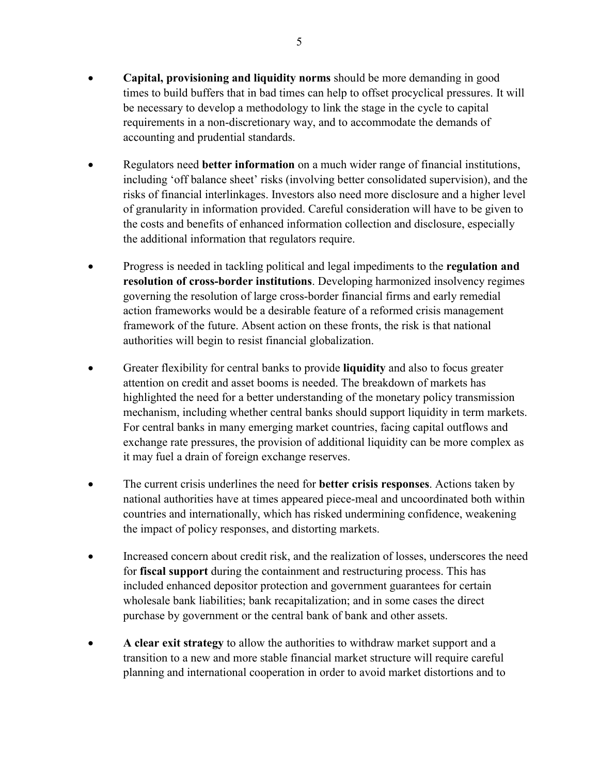- **Capital, provisioning and liquidity norms** should be more demanding in good times to build buffers that in bad times can help to offset procyclical pressures. It will be necessary to develop a methodology to link the stage in the cycle to capital requirements in a non-discretionary way, and to accommodate the demands of accounting and prudential standards.
- Regulators need **better information** on a much wider range of financial institutions, including 'off balance sheet' risks (involving better consolidated supervision), and the risks of financial interlinkages. Investors also need more disclosure and a higher level of granularity in information provided. Careful consideration will have to be given to the costs and benefits of enhanced information collection and disclosure, especially the additional information that regulators require.
- Progress is needed in tackling political and legal impediments to the **regulation and resolution of cross-border institutions**. Developing harmonized insolvency regimes governing the resolution of large cross-border financial firms and early remedial action frameworks would be a desirable feature of a reformed crisis management framework of the future. Absent action on these fronts, the risk is that national authorities will begin to resist financial globalization.
- Greater flexibility for central banks to provide **liquidity** and also to focus greater attention on credit and asset booms is needed. The breakdown of markets has highlighted the need for a better understanding of the monetary policy transmission mechanism, including whether central banks should support liquidity in term markets. For central banks in many emerging market countries, facing capital outflows and exchange rate pressures, the provision of additional liquidity can be more complex as it may fuel a drain of foreign exchange reserves.
- The current crisis underlines the need for **better crisis responses**. Actions taken by national authorities have at times appeared piece-meal and uncoordinated both within countries and internationally, which has risked undermining confidence, weakening the impact of policy responses, and distorting markets.
- Increased concern about credit risk, and the realization of losses, underscores the need for **fiscal support** during the containment and restructuring process. This has included enhanced depositor protection and government guarantees for certain wholesale bank liabilities; bank recapitalization; and in some cases the direct purchase by government or the central bank of bank and other assets.
- **A clear exit strategy** to allow the authorities to withdraw market support and a transition to a new and more stable financial market structure will require careful planning and international cooperation in order to avoid market distortions and to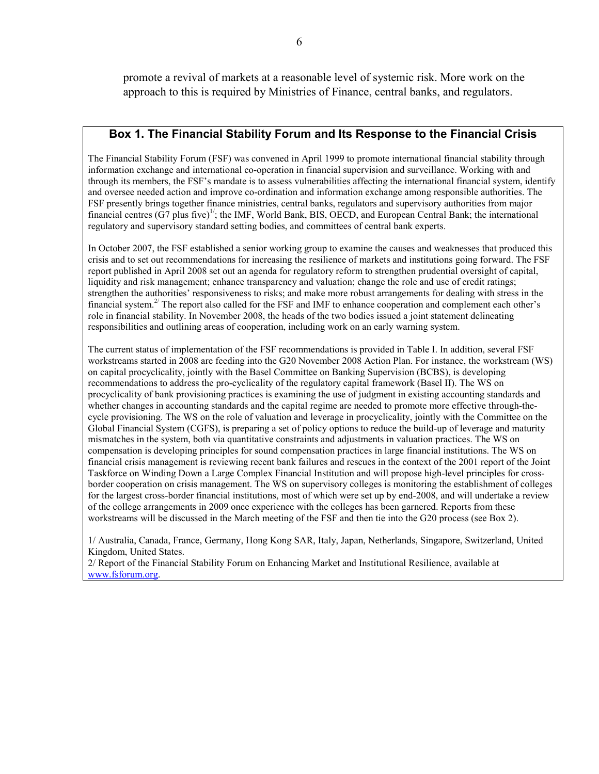promote a revival of markets at a reasonable level of systemic risk. More work on the approach to this is required by Ministries of Finance, central banks, and regulators.

#### **Box 1. The Financial Stability Forum and Its Response to the Financial Crisis**

The Financial Stability Forum (FSF) was convened in April 1999 to promote international financial stability through information exchange and international co-operation in financial supervision and surveillance. Working with and through its members, the FSF's mandate is to assess vulnerabilities affecting the international financial system, identify and oversee needed action and improve co-ordination and information exchange among responsible authorities. The FSF presently brings together finance ministries, central banks, regulators and supervisory authorities from major financial centres (G7 plus five)<sup>1/</sup>; the IMF, World Bank, BIS, OECD, and European Central Bank; the international regulatory and supervisory standard setting bodies, and committees of central bank experts.

In October 2007, the FSF established a senior working group to examine the causes and weaknesses that produced this crisis and to set out recommendations for increasing the resilience of markets and institutions going forward. The FSF report published in April 2008 set out an agenda for regulatory reform to strengthen prudential oversight of capital, liquidity and risk management; enhance transparency and valuation; change the role and use of credit ratings; strengthen the authorities' responsiveness to risks; and make more robust arrangements for dealing with stress in the financial system.2/ The report also called for the FSF and IMF to enhance cooperation and complement each other's role in financial stability. In November 2008, the heads of the two bodies issued a joint statement delineating responsibilities and outlining areas of cooperation, including work on an early warning system.

The current status of implementation of the FSF recommendations is provided in Table I. In addition, several FSF workstreams started in 2008 are feeding into the G20 November 2008 Action Plan. For instance, the workstream (WS) on capital procyclicality, jointly with the Basel Committee on Banking Supervision (BCBS), is developing recommendations to address the pro-cyclicality of the regulatory capital framework (Basel II). The WS on procyclicality of bank provisioning practices is examining the use of judgment in existing accounting standards and whether changes in accounting standards and the capital regime are needed to promote more effective through-thecycle provisioning. The WS on the role of valuation and leverage in procyclicality, jointly with the Committee on the Global Financial System (CGFS), is preparing a set of policy options to reduce the build-up of leverage and maturity mismatches in the system, both via quantitative constraints and adjustments in valuation practices. The WS on compensation is developing principles for sound compensation practices in large financial institutions. The WS on financial crisis management is reviewing recent bank failures and rescues in the context of the 2001 report of the Joint Taskforce on Winding Down a Large Complex Financial Institution and will propose high-level principles for crossborder cooperation on crisis management. The WS on supervisory colleges is monitoring the establishment of colleges for the largest cross-border financial institutions, most of which were set up by end-2008, and will undertake a review of the college arrangements in 2009 once experience with the colleges has been garnered. Reports from these workstreams will be discussed in the March meeting of the FSF and then tie into the G20 process (see Box 2).

1/ Australia, Canada, France, Germany, Hong Kong SAR, Italy, Japan, Netherlands, Singapore, Switzerland, United Kingdom, United States.

2/ Report of the Financial Stability Forum on Enhancing Market and Institutional Resilience, available at www.fsforum.org.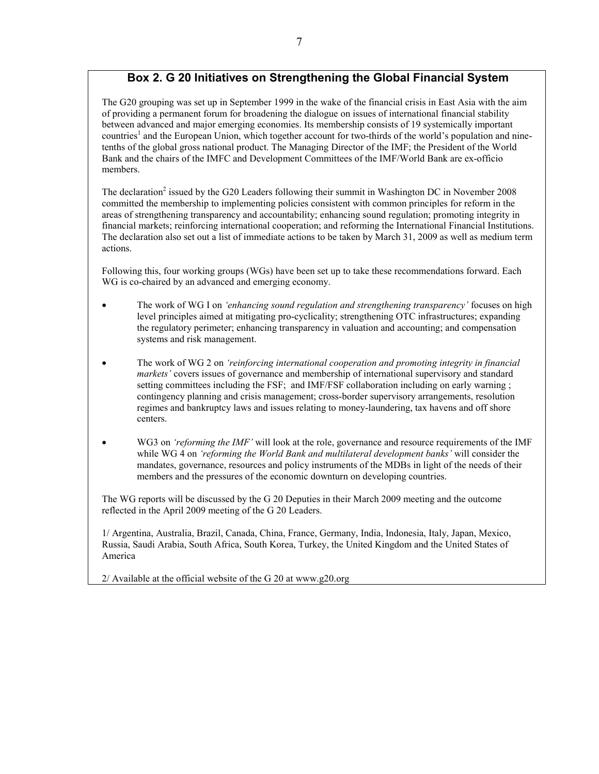# **Box 2. G 20 Initiatives on Strengthening the Global Financial System**

The G20 grouping was set up in September 1999 in the wake of the financial crisis in East Asia with the aim of providing a permanent forum for broadening the dialogue on issues of international financial stability between advanced and major emerging economies. Its membership consists of 19 systemically important countries<sup>1</sup> and the European Union, which together account for two-thirds of the world's population and ninetenths of the global gross national product. The Managing Director of the IMF; the President of the World Bank and the chairs of the IMFC and Development Committees of the IMF/World Bank are ex-officio members.

The declaration<sup>2</sup> issued by the G20 Leaders following their summit in Washington DC in November 2008 committed the membership to implementing policies consistent with common principles for reform in the areas of strengthening transparency and accountability; enhancing sound regulation; promoting integrity in financial markets; reinforcing international cooperation; and reforming the International Financial Institutions. The declaration also set out a list of immediate actions to be taken by March 31, 2009 as well as medium term actions.

Following this, four working groups (WGs) have been set up to take these recommendations forward. Each WG is co-chaired by an advanced and emerging economy.

- The work of WG I on *'enhancing sound regulation and strengthening transparency'* focuses on high level principles aimed at mitigating pro-cyclicality; strengthening OTC infrastructures; expanding the regulatory perimeter; enhancing transparency in valuation and accounting; and compensation systems and risk management.
- The work of WG 2 on *'reinforcing international cooperation and promoting integrity in financial markets'* covers issues of governance and membership of international supervisory and standard setting committees including the FSF; and IMF/FSF collaboration including on early warning ; contingency planning and crisis management; cross-border supervisory arrangements, resolution regimes and bankruptcy laws and issues relating to money-laundering, tax havens and off shore centers.
- WG3 on *'reforming the IMF'* will look at the role, governance and resource requirements of the IMF while WG 4 on *'reforming the World Bank and multilateral development banks'* will consider the mandates, governance, resources and policy instruments of the MDBs in light of the needs of their members and the pressures of the economic downturn on developing countries.

The WG reports will be discussed by the G 20 Deputies in their March 2009 meeting and the outcome reflected in the April 2009 meeting of the G 20 Leaders.

1/ Argentina, Australia, Brazil, Canada, China, France, Germany, India, Indonesia, Italy, Japan, Mexico, Russia, Saudi Arabia, South Africa, South Korea, Turkey, the United Kingdom and the United States of America

2/ Available at the official website of the G 20 at www.g20.org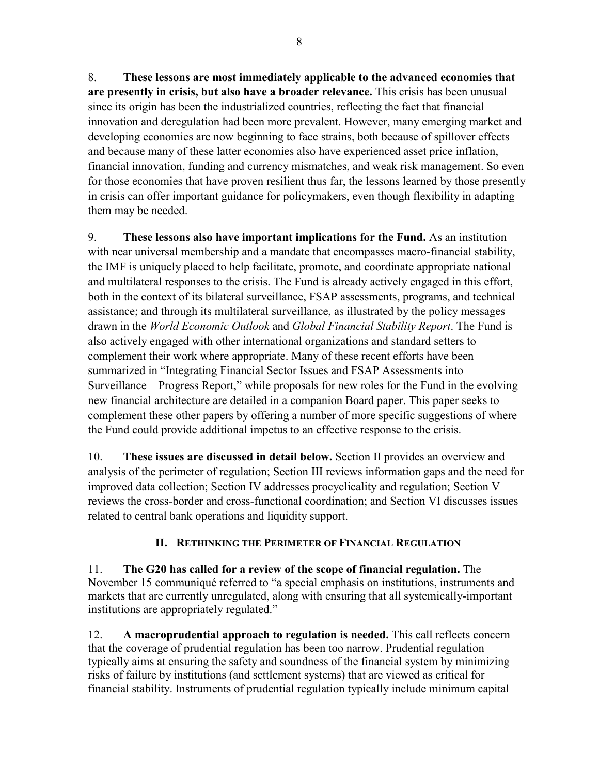8. **These lessons are most immediately applicable to the advanced economies that are presently in crisis, but also have a broader relevance.** This crisis has been unusual since its origin has been the industrialized countries, reflecting the fact that financial innovation and deregulation had been more prevalent. However, many emerging market and developing economies are now beginning to face strains, both because of spillover effects and because many of these latter economies also have experienced asset price inflation, financial innovation, funding and currency mismatches, and weak risk management. So even for those economies that have proven resilient thus far, the lessons learned by those presently in crisis can offer important guidance for policymakers, even though flexibility in adapting them may be needed.

9. **These lessons also have important implications for the Fund.** As an institution with near universal membership and a mandate that encompasses macro-financial stability, the IMF is uniquely placed to help facilitate, promote, and coordinate appropriate national and multilateral responses to the crisis. The Fund is already actively engaged in this effort, both in the context of its bilateral surveillance, FSAP assessments, programs, and technical assistance; and through its multilateral surveillance, as illustrated by the policy messages drawn in the *World Economic Outlook* and *Global Financial Stability Report*. The Fund is also actively engaged with other international organizations and standard setters to complement their work where appropriate. Many of these recent efforts have been summarized in "Integrating Financial Sector Issues and FSAP Assessments into Surveillance—Progress Report," while proposals for new roles for the Fund in the evolving new financial architecture are detailed in a companion Board paper. This paper seeks to complement these other papers by offering a number of more specific suggestions of where the Fund could provide additional impetus to an effective response to the crisis.

10. **These issues are discussed in detail below.** Section II provides an overview and analysis of the perimeter of regulation; Section III reviews information gaps and the need for improved data collection; Section IV addresses procyclicality and regulation; Section V reviews the cross-border and cross-functional coordination; and Section VI discusses issues related to central bank operations and liquidity support.

# **II. RETHINKING THE PERIMETER OF FINANCIAL REGULATION**

11. **The G20 has called for a review of the scope of financial regulation.** The November 15 communiqué referred to "a special emphasis on institutions, instruments and markets that are currently unregulated, along with ensuring that all systemically-important institutions are appropriately regulated."

12. **A macroprudential approach to regulation is needed.** This call reflects concern that the coverage of prudential regulation has been too narrow. Prudential regulation typically aims at ensuring the safety and soundness of the financial system by minimizing risks of failure by institutions (and settlement systems) that are viewed as critical for financial stability. Instruments of prudential regulation typically include minimum capital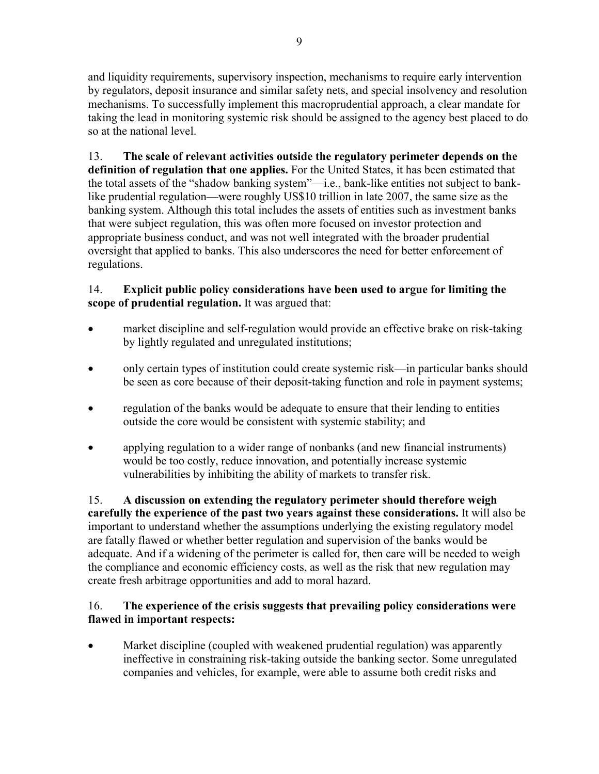and liquidity requirements, supervisory inspection, mechanisms to require early intervention by regulators, deposit insurance and similar safety nets, and special insolvency and resolution mechanisms. To successfully implement this macroprudential approach, a clear mandate for taking the lead in monitoring systemic risk should be assigned to the agency best placed to do so at the national level.

13. **The scale of relevant activities outside the regulatory perimeter depends on the definition of regulation that one applies.** For the United States, it has been estimated that the total assets of the "shadow banking system"—i.e., bank-like entities not subject to banklike prudential regulation—were roughly US\$10 trillion in late 2007, the same size as the banking system. Although this total includes the assets of entities such as investment banks that were subject regulation, this was often more focused on investor protection and appropriate business conduct, and was not well integrated with the broader prudential oversight that applied to banks. This also underscores the need for better enforcement of regulations.

# 14. **Explicit public policy considerations have been used to argue for limiting the scope of prudential regulation.** It was argued that:

- market discipline and self-regulation would provide an effective brake on risk-taking by lightly regulated and unregulated institutions;
- only certain types of institution could create systemic risk—in particular banks should be seen as core because of their deposit-taking function and role in payment systems;
- regulation of the banks would be adequate to ensure that their lending to entities outside the core would be consistent with systemic stability; and
- applying regulation to a wider range of nonbanks (and new financial instruments) would be too costly, reduce innovation, and potentially increase systemic vulnerabilities by inhibiting the ability of markets to transfer risk.

15. **A discussion on extending the regulatory perimeter should therefore weigh carefully the experience of the past two years against these considerations.** It will also be important to understand whether the assumptions underlying the existing regulatory model are fatally flawed or whether better regulation and supervision of the banks would be adequate. And if a widening of the perimeter is called for, then care will be needed to weigh the compliance and economic efficiency costs, as well as the risk that new regulation may create fresh arbitrage opportunities and add to moral hazard.

# 16. **The experience of the crisis suggests that prevailing policy considerations were flawed in important respects:**

• Market discipline (coupled with weakened prudential regulation) was apparently ineffective in constraining risk-taking outside the banking sector. Some unregulated companies and vehicles, for example, were able to assume both credit risks and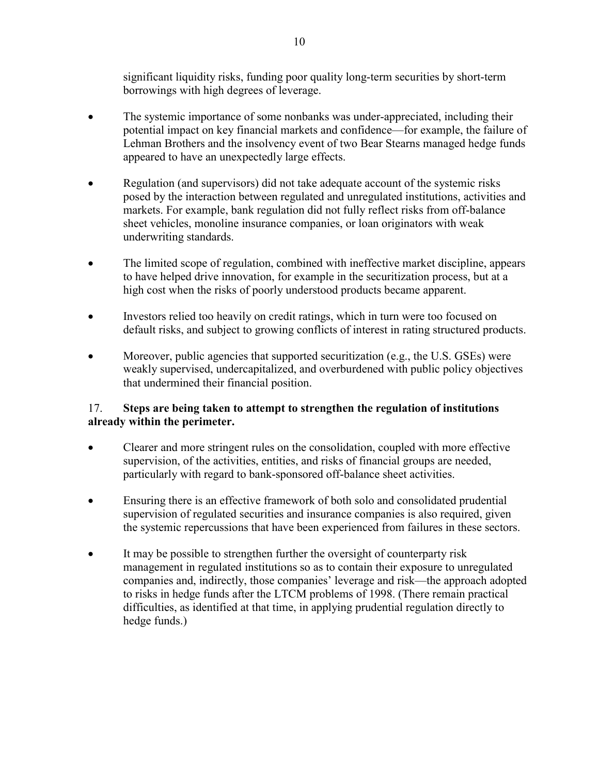significant liquidity risks, funding poor quality long-term securities by short-term borrowings with high degrees of leverage.

- The systemic importance of some nonbanks was under-appreciated, including their potential impact on key financial markets and confidence—for example, the failure of Lehman Brothers and the insolvency event of two Bear Stearns managed hedge funds appeared to have an unexpectedly large effects.
- Regulation (and supervisors) did not take adequate account of the systemic risks posed by the interaction between regulated and unregulated institutions, activities and markets. For example, bank regulation did not fully reflect risks from off-balance sheet vehicles, monoline insurance companies, or loan originators with weak underwriting standards.
- The limited scope of regulation, combined with ineffective market discipline, appears to have helped drive innovation, for example in the securitization process, but at a high cost when the risks of poorly understood products became apparent.
- Investors relied too heavily on credit ratings, which in turn were too focused on default risks, and subject to growing conflicts of interest in rating structured products.
- Moreover, public agencies that supported securitization (e.g., the U.S. GSEs) were weakly supervised, undercapitalized, and overburdened with public policy objectives that undermined their financial position.

# 17. **Steps are being taken to attempt to strengthen the regulation of institutions already within the perimeter.**

- Clearer and more stringent rules on the consolidation, coupled with more effective supervision, of the activities, entities, and risks of financial groups are needed, particularly with regard to bank-sponsored off-balance sheet activities.
- Ensuring there is an effective framework of both solo and consolidated prudential supervision of regulated securities and insurance companies is also required, given the systemic repercussions that have been experienced from failures in these sectors.
- It may be possible to strengthen further the oversight of counterparty risk management in regulated institutions so as to contain their exposure to unregulated companies and, indirectly, those companies' leverage and risk—the approach adopted to risks in hedge funds after the LTCM problems of 1998. (There remain practical difficulties, as identified at that time, in applying prudential regulation directly to hedge funds.)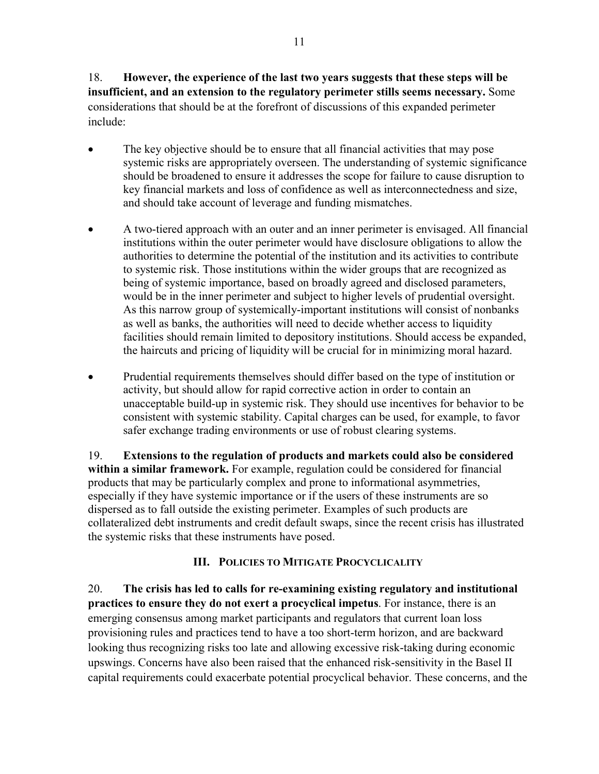18. **However, the experience of the last two years suggests that these steps will be insufficient, and an extension to the regulatory perimeter stills seems necessary.** Some considerations that should be at the forefront of discussions of this expanded perimeter include:

- The key objective should be to ensure that all financial activities that may pose systemic risks are appropriately overseen. The understanding of systemic significance should be broadened to ensure it addresses the scope for failure to cause disruption to key financial markets and loss of confidence as well as interconnectedness and size, and should take account of leverage and funding mismatches.
- A two-tiered approach with an outer and an inner perimeter is envisaged. All financial institutions within the outer perimeter would have disclosure obligations to allow the authorities to determine the potential of the institution and its activities to contribute to systemic risk. Those institutions within the wider groups that are recognized as being of systemic importance, based on broadly agreed and disclosed parameters, would be in the inner perimeter and subject to higher levels of prudential oversight. As this narrow group of systemically-important institutions will consist of nonbanks as well as banks, the authorities will need to decide whether access to liquidity facilities should remain limited to depository institutions. Should access be expanded, the haircuts and pricing of liquidity will be crucial for in minimizing moral hazard.
- Prudential requirements themselves should differ based on the type of institution or activity, but should allow for rapid corrective action in order to contain an unacceptable build-up in systemic risk. They should use incentives for behavior to be consistent with systemic stability. Capital charges can be used, for example, to favor safer exchange trading environments or use of robust clearing systems.

19. **Extensions to the regulation of products and markets could also be considered within a similar framework.** For example, regulation could be considered for financial products that may be particularly complex and prone to informational asymmetries, especially if they have systemic importance or if the users of these instruments are so dispersed as to fall outside the existing perimeter. Examples of such products are collateralized debt instruments and credit default swaps, since the recent crisis has illustrated the systemic risks that these instruments have posed.

## **III. POLICIES TO MITIGATE PROCYCLICALITY**

20. **The crisis has led to calls for re-examining existing regulatory and institutional practices to ensure they do not exert a procyclical impetus**. For instance, there is an emerging consensus among market participants and regulators that current loan loss provisioning rules and practices tend to have a too short-term horizon, and are backward looking thus recognizing risks too late and allowing excessive risk-taking during economic upswings. Concerns have also been raised that the enhanced risk-sensitivity in the Basel II capital requirements could exacerbate potential procyclical behavior. These concerns, and the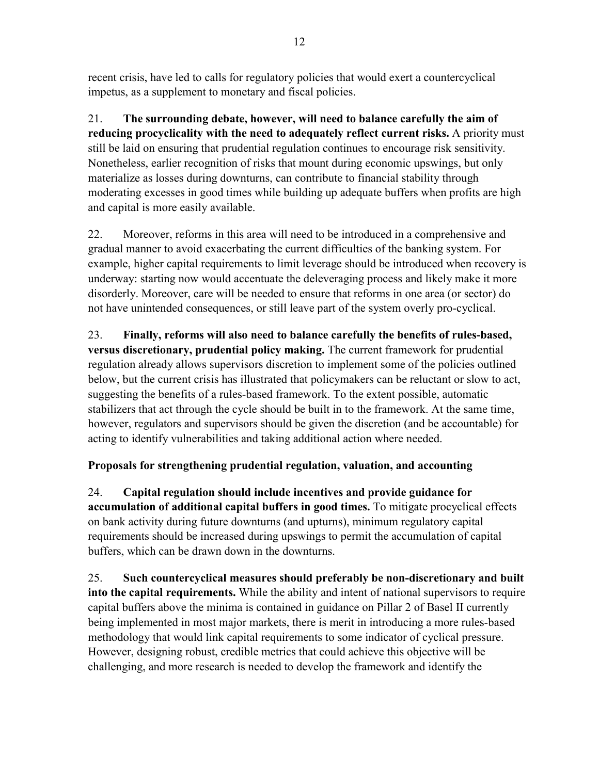recent crisis, have led to calls for regulatory policies that would exert a countercyclical impetus, as a supplement to monetary and fiscal policies.

21. **The surrounding debate, however, will need to balance carefully the aim of reducing procyclicality with the need to adequately reflect current risks.** A priority must still be laid on ensuring that prudential regulation continues to encourage risk sensitivity. Nonetheless, earlier recognition of risks that mount during economic upswings, but only materialize as losses during downturns, can contribute to financial stability through moderating excesses in good times while building up adequate buffers when profits are high and capital is more easily available.

22. Moreover, reforms in this area will need to be introduced in a comprehensive and gradual manner to avoid exacerbating the current difficulties of the banking system. For example, higher capital requirements to limit leverage should be introduced when recovery is underway: starting now would accentuate the deleveraging process and likely make it more disorderly. Moreover, care will be needed to ensure that reforms in one area (or sector) do not have unintended consequences, or still leave part of the system overly pro-cyclical.

23. **Finally, reforms will also need to balance carefully the benefits of rules-based, versus discretionary, prudential policy making.** The current framework for prudential regulation already allows supervisors discretion to implement some of the policies outlined below, but the current crisis has illustrated that policymakers can be reluctant or slow to act, suggesting the benefits of a rules-based framework. To the extent possible, automatic stabilizers that act through the cycle should be built in to the framework. At the same time, however, regulators and supervisors should be given the discretion (and be accountable) for acting to identify vulnerabilities and taking additional action where needed.

# **Proposals for strengthening prudential regulation, valuation, and accounting**

24. **Capital regulation should include incentives and provide guidance for accumulation of additional capital buffers in good times.** To mitigate procyclical effects on bank activity during future downturns (and upturns), minimum regulatory capital requirements should be increased during upswings to permit the accumulation of capital buffers, which can be drawn down in the downturns.

25. **Such countercyclical measures should preferably be non-discretionary and built into the capital requirements.** While the ability and intent of national supervisors to require capital buffers above the minima is contained in guidance on Pillar 2 of Basel II currently being implemented in most major markets, there is merit in introducing a more rules-based methodology that would link capital requirements to some indicator of cyclical pressure. However, designing robust, credible metrics that could achieve this objective will be challenging, and more research is needed to develop the framework and identify the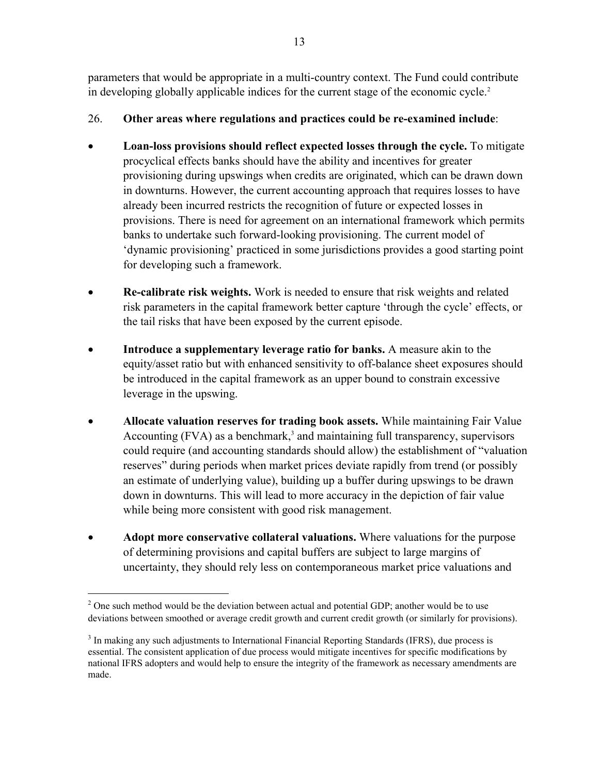parameters that would be appropriate in a multi-country context. The Fund could contribute in developing globally applicable indices for the current stage of the economic cycle.<sup>2</sup>

# 26. **Other areas where regulations and practices could be re-examined include**:

- **Loan-loss provisions should reflect expected losses through the cycle.** To mitigate procyclical effects banks should have the ability and incentives for greater provisioning during upswings when credits are originated, which can be drawn down in downturns. However, the current accounting approach that requires losses to have already been incurred restricts the recognition of future or expected losses in provisions. There is need for agreement on an international framework which permits banks to undertake such forward-looking provisioning. The current model of 'dynamic provisioning' practiced in some jurisdictions provides a good starting point for developing such a framework.
- **Re-calibrate risk weights.** Work is needed to ensure that risk weights and related risk parameters in the capital framework better capture 'through the cycle' effects, or the tail risks that have been exposed by the current episode.
- **Introduce a supplementary leverage ratio for banks.** A measure akin to the equity/asset ratio but with enhanced sensitivity to off-balance sheet exposures should be introduced in the capital framework as an upper bound to constrain excessive leverage in the upswing.
- **Allocate valuation reserves for trading book assets.** While maintaining Fair Value Accounting  $(FVA)$  as a benchmark,<sup>3</sup> and maintaining full transparency, supervisors could require (and accounting standards should allow) the establishment of "valuation reserves" during periods when market prices deviate rapidly from trend (or possibly an estimate of underlying value), building up a buffer during upswings to be drawn down in downturns. This will lead to more accuracy in the depiction of fair value while being more consistent with good risk management.
- **Adopt more conservative collateral valuations.** Where valuations for the purpose of determining provisions and capital buffers are subject to large margins of uncertainty, they should rely less on contemporaneous market price valuations and

 $2^2$  One such method would be the deviation between actual and potential GDP; another would be to use deviations between smoothed or average credit growth and current credit growth (or similarly for provisions).

<sup>&</sup>lt;sup>3</sup> In making any such adjustments to International Financial Reporting Standards (IFRS), due process is essential. The consistent application of due process would mitigate incentives for specific modifications by national IFRS adopters and would help to ensure the integrity of the framework as necessary amendments are made.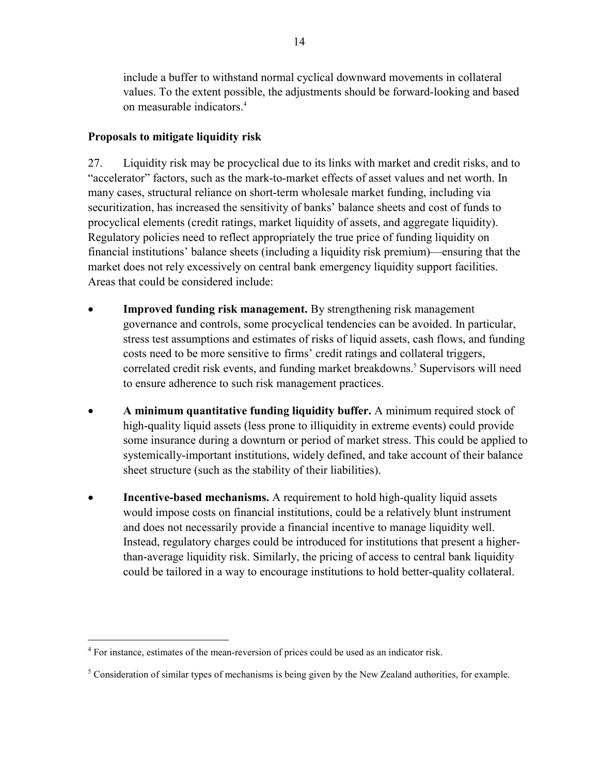include a buffer to withstand normal cyclical downward movements in collateral values. To the extent possible, the adjustments should be forward-looking and based on measurable indicators.<sup>4</sup>

# **Proposals to mitigate liquidity risk**

27. Liquidity risk may be procyclical due to its links with market and credit risks, and to "accelerator" factors, such as the mark-to-market effects of asset values and net worth. In many cases, structural reliance on short-term wholesale market funding, including via securitization, has increased the sensitivity of banks' balance sheets and cost of funds to procyclical elements (credit ratings, market liquidity of assets, and aggregate liquidity). Regulatory policies need to reflect appropriately the true price of funding liquidity on financial institutions' balance sheets (including a liquidity risk premium)—ensuring that the market does not rely excessively on central bank emergency liquidity support facilities. Areas that could be considered include:

- **Improved funding risk management.** By strengthening risk management governance and controls, some procyclical tendencies can be avoided. In particular, stress test assumptions and estimates of risks of liquid assets, cash flows, and funding costs need to be more sensitive to firms' credit ratings and collateral triggers, correlated credit risk events, and funding market breakdowns.<sup>5</sup> Supervisors will need to ensure adherence to such risk management practices.
- **A minimum quantitative funding liquidity buffer.** A minimum required stock of high-quality liquid assets (less prone to illiquidity in extreme events) could provide some insurance during a downturn or period of market stress. This could be applied to systemically-important institutions, widely defined, and take account of their balance sheet structure (such as the stability of their liabilities).
- **Incentive-based mechanisms.** A requirement to hold high-quality liquid assets would impose costs on financial institutions, could be a relatively blunt instrument and does not necessarily provide a financial incentive to manage liquidity well. Instead, regulatory charges could be introduced for institutions that present a higherthan-average liquidity risk. Similarly, the pricing of access to central bank liquidity could be tailored in a way to encourage institutions to hold better-quality collateral.

1

<sup>&</sup>lt;sup>4</sup> For instance, estimates of the mean-reversion of prices could be used as an indicator risk.

 $<sup>5</sup>$  Consideration of similar types of mechanisms is being given by the New Zealand authorities, for example.</sup>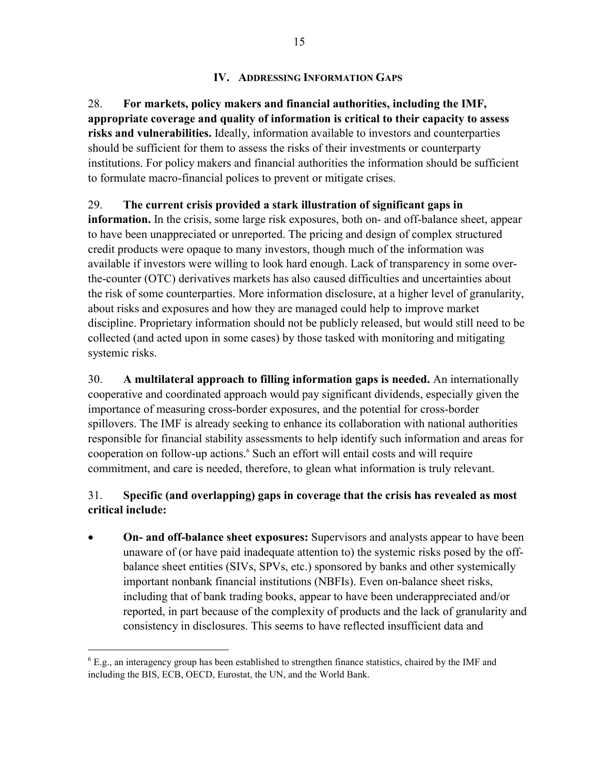# **IV. ADDRESSING INFORMATION GAPS**

28. **For markets, policy makers and financial authorities, including the IMF, appropriate coverage and quality of information is critical to their capacity to assess risks and vulnerabilities.** Ideally, information available to investors and counterparties should be sufficient for them to assess the risks of their investments or counterparty institutions. For policy makers and financial authorities the information should be sufficient to formulate macro-financial polices to prevent or mitigate crises.

# 29. **The current crisis provided a stark illustration of significant gaps in**

**information.** In the crisis, some large risk exposures, both on- and off-balance sheet, appear to have been unappreciated or unreported. The pricing and design of complex structured credit products were opaque to many investors, though much of the information was available if investors were willing to look hard enough. Lack of transparency in some overthe-counter (OTC) derivatives markets has also caused difficulties and uncertainties about the risk of some counterparties. More information disclosure, at a higher level of granularity, about risks and exposures and how they are managed could help to improve market discipline. Proprietary information should not be publicly released, but would still need to be collected (and acted upon in some cases) by those tasked with monitoring and mitigating systemic risks.

30. **A multilateral approach to filling information gaps is needed.** An internationally cooperative and coordinated approach would pay significant dividends, especially given the importance of measuring cross-border exposures, and the potential for cross-border spillovers. The IMF is already seeking to enhance its collaboration with national authorities responsible for financial stability assessments to help identify such information and areas for cooperation on follow-up actions.<sup>6</sup> Such an effort will entail costs and will require commitment, and care is needed, therefore, to glean what information is truly relevant.

# 31. **Specific (and overlapping) gaps in coverage that the crisis has revealed as most critical include:**

• **On- and off-balance sheet exposures:** Supervisors and analysts appear to have been unaware of (or have paid inadequate attention to) the systemic risks posed by the offbalance sheet entities (SIVs, SPVs, etc.) sponsored by banks and other systemically important nonbank financial institutions (NBFIs). Even on-balance sheet risks, including that of bank trading books, appear to have been underappreciated and/or reported, in part because of the complexity of products and the lack of granularity and consistency in disclosures. This seems to have reflected insufficient data and

 $6$  E.g., an interagency group has been established to strengthen finance statistics, chaired by the IMF and including the BIS, ECB, OECD, Eurostat, the UN, and the World Bank.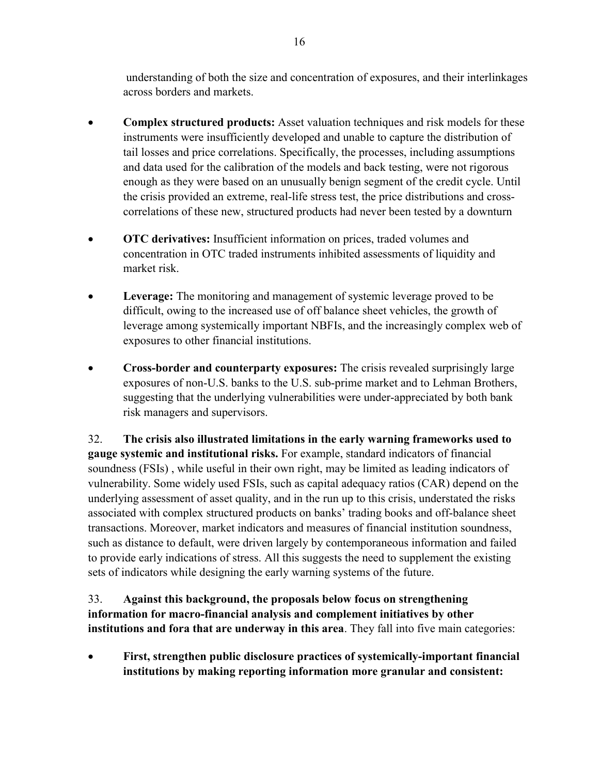understanding of both the size and concentration of exposures, and their interlinkages across borders and markets.

- **Complex structured products:** Asset valuation techniques and risk models for these instruments were insufficiently developed and unable to capture the distribution of tail losses and price correlations. Specifically, the processes, including assumptions and data used for the calibration of the models and back testing, were not rigorous enough as they were based on an unusually benign segment of the credit cycle. Until the crisis provided an extreme, real-life stress test, the price distributions and crosscorrelations of these new, structured products had never been tested by a downturn
- **OTC derivatives:** Insufficient information on prices, traded volumes and concentration in OTC traded instruments inhibited assessments of liquidity and market risk.
- **Leverage:** The monitoring and management of systemic leverage proved to be difficult, owing to the increased use of off balance sheet vehicles, the growth of leverage among systemically important NBFIs, and the increasingly complex web of exposures to other financial institutions.
- **Cross-border and counterparty exposures:** The crisis revealed surprisingly large exposures of non-U.S. banks to the U.S. sub-prime market and to Lehman Brothers, suggesting that the underlying vulnerabilities were under-appreciated by both bank risk managers and supervisors.

32. **The crisis also illustrated limitations in the early warning frameworks used to gauge systemic and institutional risks.** For example, standard indicators of financial soundness (FSIs) , while useful in their own right, may be limited as leading indicators of vulnerability. Some widely used FSIs, such as capital adequacy ratios (CAR) depend on the underlying assessment of asset quality, and in the run up to this crisis, understated the risks associated with complex structured products on banks' trading books and off-balance sheet transactions. Moreover, market indicators and measures of financial institution soundness, such as distance to default, were driven largely by contemporaneous information and failed to provide early indications of stress. All this suggests the need to supplement the existing sets of indicators while designing the early warning systems of the future.

33. **Against this background, the proposals below focus on strengthening information for macro-financial analysis and complement initiatives by other institutions and fora that are underway in this area**. They fall into five main categories:

• **First, strengthen public disclosure practices of systemically-important financial institutions by making reporting information more granular and consistent:**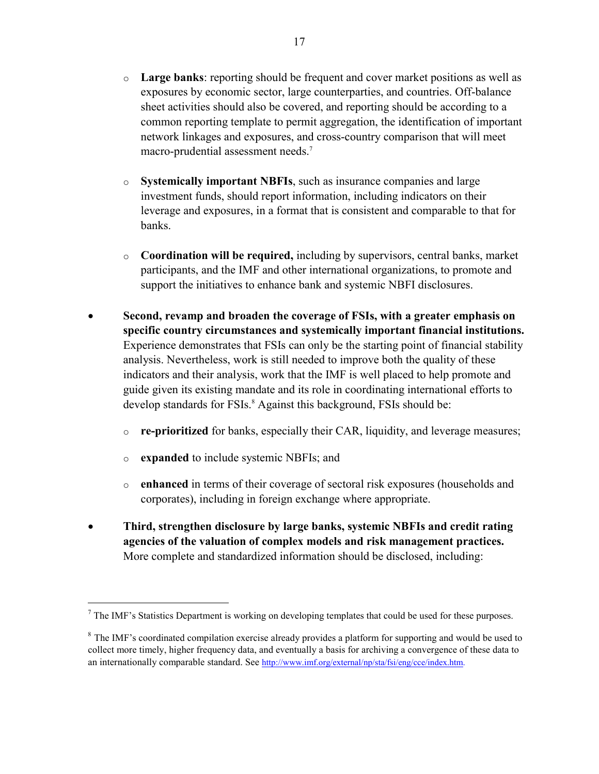- o **Large banks**: reporting should be frequent and cover market positions as well as exposures by economic sector, large counterparties, and countries. Off-balance sheet activities should also be covered, and reporting should be according to a common reporting template to permit aggregation, the identification of important network linkages and exposures, and cross-country comparison that will meet macro-prudential assessment needs.7
- o **Systemically important NBFIs**, such as insurance companies and large investment funds, should report information, including indicators on their leverage and exposures, in a format that is consistent and comparable to that for banks.
- o **Coordination will be required,** including by supervisors, central banks, market participants, and the IMF and other international organizations, to promote and support the initiatives to enhance bank and systemic NBFI disclosures.
- **Second, revamp and broaden the coverage of FSIs, with a greater emphasis on specific country circumstances and systemically important financial institutions.**  Experience demonstrates that FSIs can only be the starting point of financial stability analysis. Nevertheless, work is still needed to improve both the quality of these indicators and their analysis, work that the IMF is well placed to help promote and guide given its existing mandate and its role in coordinating international efforts to develop standards for FSIs.<sup>8</sup> Against this background, FSIs should be:
	- o **re-prioritized** for banks, especially their CAR, liquidity, and leverage measures;
	- o **expanded** to include systemic NBFIs; and

<u>.</u>

- o **enhanced** in terms of their coverage of sectoral risk exposures (households and corporates), including in foreign exchange where appropriate.
- **Third, strengthen disclosure by large banks, systemic NBFIs and credit rating agencies of the valuation of complex models and risk management practices.** More complete and standardized information should be disclosed, including:

 $<sup>7</sup>$  The IMF's Statistics Department is working on developing templates that could be used for these purposes.</sup>

 $8$  The IMF's coordinated compilation exercise already provides a platform for supporting and would be used to collect more timely, higher frequency data, and eventually a basis for archiving a convergence of these data to an internationally comparable standard. See http://www.imf.org/external/np/sta/fsi/eng/cce/index.htm.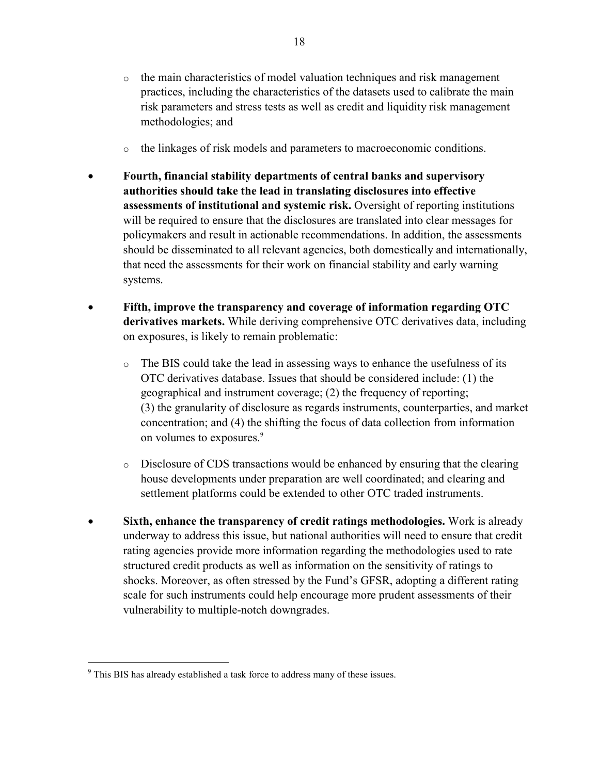- o the main characteristics of model valuation techniques and risk management practices, including the characteristics of the datasets used to calibrate the main risk parameters and stress tests as well as credit and liquidity risk management methodologies; and
- o the linkages of risk models and parameters to macroeconomic conditions.
- **Fourth, financial stability departments of central banks and supervisory authorities should take the lead in translating disclosures into effective assessments of institutional and systemic risk.** Oversight of reporting institutions will be required to ensure that the disclosures are translated into clear messages for policymakers and result in actionable recommendations. In addition, the assessments should be disseminated to all relevant agencies, both domestically and internationally, that need the assessments for their work on financial stability and early warning systems.
- **Fifth, improve the transparency and coverage of information regarding OTC derivatives markets.** While deriving comprehensive OTC derivatives data, including on exposures, is likely to remain problematic:
	- $\circ$  The BIS could take the lead in assessing ways to enhance the usefulness of its OTC derivatives database. Issues that should be considered include: (1) the geographical and instrument coverage; (2) the frequency of reporting; (3) the granularity of disclosure as regards instruments, counterparties, and market concentration; and (4) the shifting the focus of data collection from information on volumes to exposures.<sup>9</sup>
	- o Disclosure of CDS transactions would be enhanced by ensuring that the clearing house developments under preparation are well coordinated; and clearing and settlement platforms could be extended to other OTC traded instruments.
- **Sixth, enhance the transparency of credit ratings methodologies.** Work is already underway to address this issue, but national authorities will need to ensure that credit rating agencies provide more information regarding the methodologies used to rate structured credit products as well as information on the sensitivity of ratings to shocks. Moreover, as often stressed by the Fund's GFSR, adopting a different rating scale for such instruments could help encourage more prudent assessments of their vulnerability to multiple-notch downgrades.

<sup>&</sup>lt;sup>9</sup> This BIS has already established a task force to address many of these issues.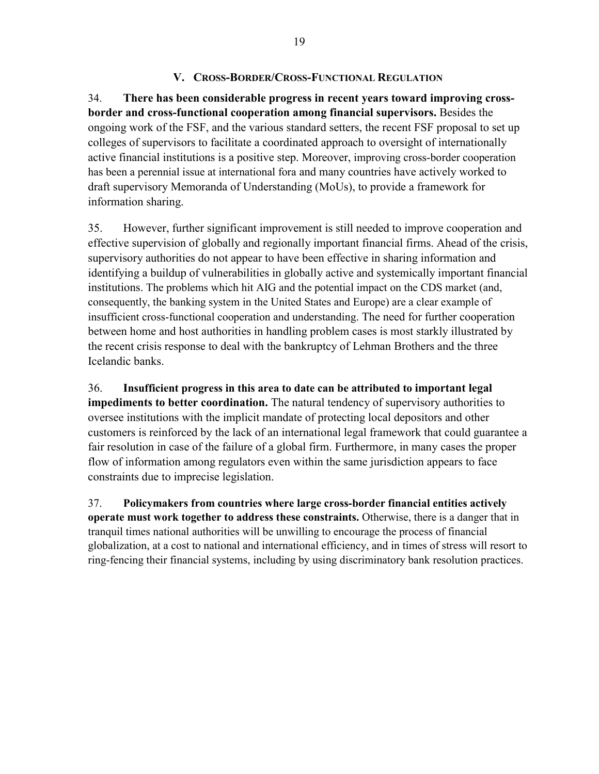### **V. CROSS-BORDER/CROSS-FUNCTIONAL REGULATION**

34. **There has been considerable progress in recent years toward improving crossborder and cross-functional cooperation among financial supervisors.** Besides the ongoing work of the FSF, and the various standard setters, the recent FSF proposal to set up colleges of supervisors to facilitate a coordinated approach to oversight of internationally active financial institutions is a positive step. Moreover, improving cross-border cooperation has been a perennial issue at international fora and many countries have actively worked to draft supervisory Memoranda of Understanding (MoUs), to provide a framework for information sharing.

35. However, further significant improvement is still needed to improve cooperation and effective supervision of globally and regionally important financial firms. Ahead of the crisis, supervisory authorities do not appear to have been effective in sharing information and identifying a buildup of vulnerabilities in globally active and systemically important financial institutions. The problems which hit AIG and the potential impact on the CDS market (and, consequently, the banking system in the United States and Europe) are a clear example of insufficient cross-functional cooperation and understanding. The need for further cooperation between home and host authorities in handling problem cases is most starkly illustrated by the recent crisis response to deal with the bankruptcy of Lehman Brothers and the three Icelandic banks.

36. **Insufficient progress in this area to date can be attributed to important legal impediments to better coordination.** The natural tendency of supervisory authorities to oversee institutions with the implicit mandate of protecting local depositors and other customers is reinforced by the lack of an international legal framework that could guarantee a fair resolution in case of the failure of a global firm. Furthermore, in many cases the proper flow of information among regulators even within the same jurisdiction appears to face constraints due to imprecise legislation.

37. **Policymakers from countries where large cross-border financial entities actively operate must work together to address these constraints.** Otherwise, there is a danger that in tranquil times national authorities will be unwilling to encourage the process of financial globalization, at a cost to national and international efficiency, and in times of stress will resort to ring-fencing their financial systems, including by using discriminatory bank resolution practices.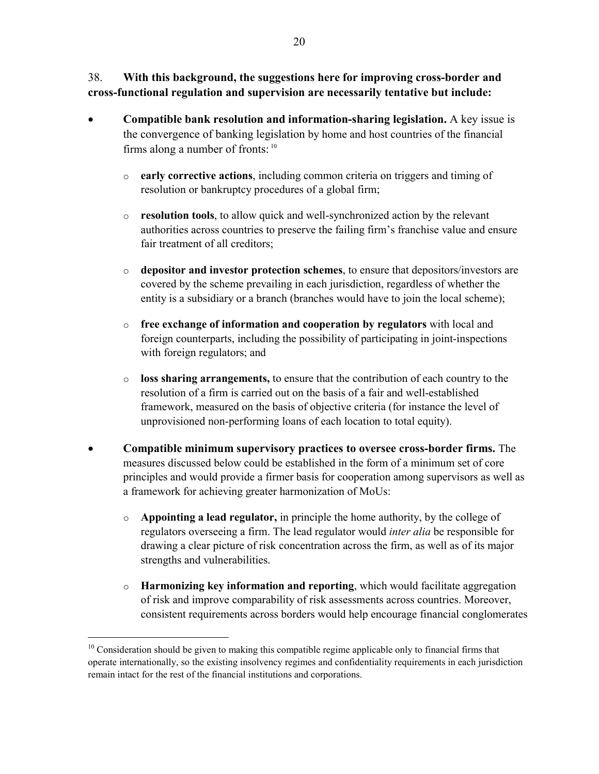38. **With this background, the suggestions here for improving cross-border and cross-functional regulation and supervision are necessarily tentative but include:**

- **Compatible bank resolution and information-sharing legislation.** A key issue is the convergence of banking legislation by home and host countries of the financial firms along a number of fronts: 10
	- o **early corrective actions**, including common criteria on triggers and timing of resolution or bankruptcy procedures of a global firm;
	- o **resolution tools**, to allow quick and well-synchronized action by the relevant authorities across countries to preserve the failing firm's franchise value and ensure fair treatment of all creditors;
	- o **depositor and investor protection schemes**, to ensure that depositors/investors are covered by the scheme prevailing in each jurisdiction, regardless of whether the entity is a subsidiary or a branch (branches would have to join the local scheme);
	- o **free exchange of information and cooperation by regulators** with local and foreign counterparts, including the possibility of participating in joint-inspections with foreign regulators; and
	- o **loss sharing arrangements,** to ensure that the contribution of each country to the resolution of a firm is carried out on the basis of a fair and well-established framework, measured on the basis of objective criteria (for instance the level of unprovisioned non-performing loans of each location to total equity).
- **Compatible minimum supervisory practices to oversee cross-border firms.** The measures discussed below could be established in the form of a minimum set of core principles and would provide a firmer basis for cooperation among supervisors as well as a framework for achieving greater harmonization of MoUs:
	- o **Appointing a lead regulator,** in principle the home authority, by the college of regulators overseeing a firm. The lead regulator would *inter alia* be responsible for drawing a clear picture of risk concentration across the firm, as well as of its major strengths and vulnerabilities.
	- o **Harmonizing key information and reporting**, which would facilitate aggregation of risk and improve comparability of risk assessments across countries. Moreover, consistent requirements across borders would help encourage financial conglomerates

 $10$  Consideration should be given to making this compatible regime applicable only to financial firms that operate internationally, so the existing insolvency regimes and confidentiality requirements in each jurisdiction remain intact for the rest of the financial institutions and corporations.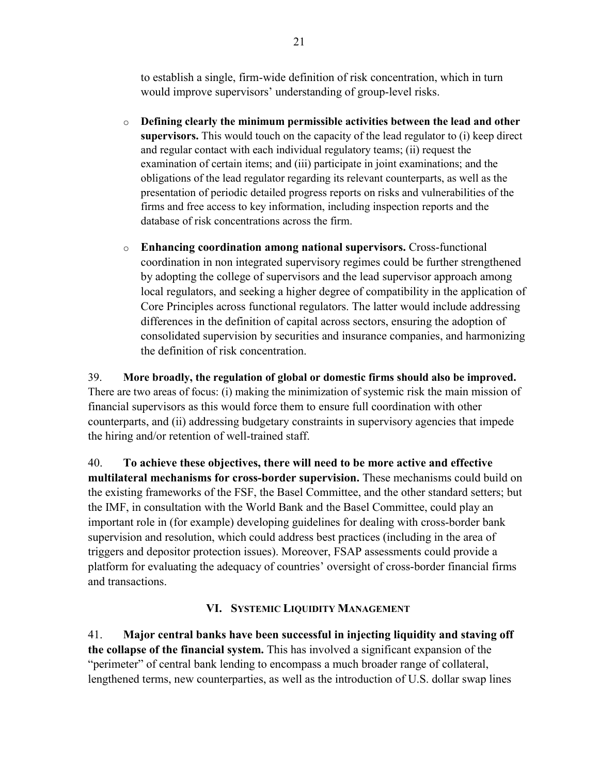to establish a single, firm-wide definition of risk concentration, which in turn would improve supervisors' understanding of group-level risks.

- o **Defining clearly the minimum permissible activities between the lead and other supervisors.** This would touch on the capacity of the lead regulator to (i) keep direct and regular contact with each individual regulatory teams; (ii) request the examination of certain items; and (iii) participate in joint examinations; and the obligations of the lead regulator regarding its relevant counterparts, as well as the presentation of periodic detailed progress reports on risks and vulnerabilities of the firms and free access to key information, including inspection reports and the database of risk concentrations across the firm.
- o **Enhancing coordination among national supervisors.** Cross-functional coordination in non integrated supervisory regimes could be further strengthened by adopting the college of supervisors and the lead supervisor approach among local regulators, and seeking a higher degree of compatibility in the application of Core Principles across functional regulators. The latter would include addressing differences in the definition of capital across sectors, ensuring the adoption of consolidated supervision by securities and insurance companies, and harmonizing the definition of risk concentration.

39. **More broadly, the regulation of global or domestic firms should also be improved.**  There are two areas of focus: (i) making the minimization of systemic risk the main mission of financial supervisors as this would force them to ensure full coordination with other counterparts, and (ii) addressing budgetary constraints in supervisory agencies that impede the hiring and/or retention of well-trained staff.

40. **To achieve these objectives, there will need to be more active and effective multilateral mechanisms for cross-border supervision.** These mechanisms could build on the existing frameworks of the FSF, the Basel Committee, and the other standard setters; but the IMF, in consultation with the World Bank and the Basel Committee, could play an important role in (for example) developing guidelines for dealing with cross-border bank supervision and resolution, which could address best practices (including in the area of triggers and depositor protection issues). Moreover, FSAP assessments could provide a platform for evaluating the adequacy of countries' oversight of cross-border financial firms and transactions.

# **VI. SYSTEMIC LIQUIDITY MANAGEMENT**

41. **Major central banks have been successful in injecting liquidity and staving off the collapse of the financial system.** This has involved a significant expansion of the "perimeter" of central bank lending to encompass a much broader range of collateral, lengthened terms, new counterparties, as well as the introduction of U.S. dollar swap lines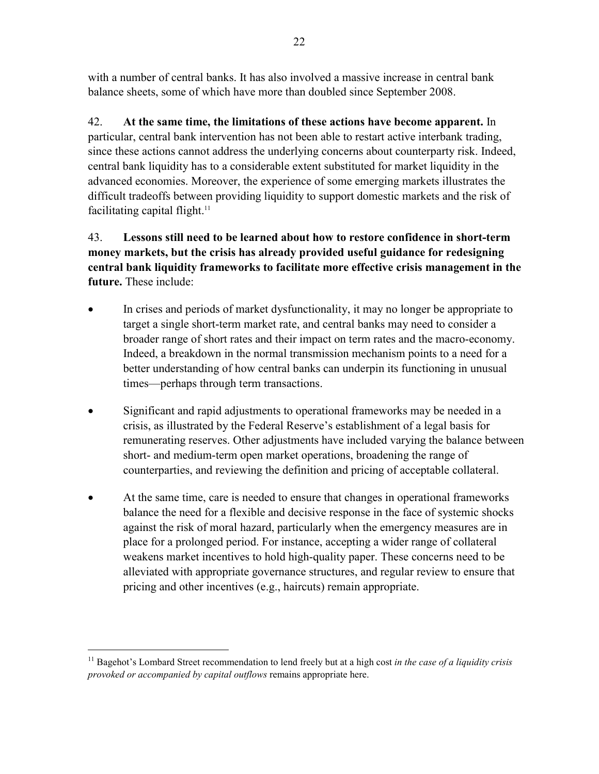with a number of central banks. It has also involved a massive increase in central bank balance sheets, some of which have more than doubled since September 2008.

42. **At the same time, the limitations of these actions have become apparent.** In particular, central bank intervention has not been able to restart active interbank trading, since these actions cannot address the underlying concerns about counterparty risk. Indeed, central bank liquidity has to a considerable extent substituted for market liquidity in the advanced economies. Moreover, the experience of some emerging markets illustrates the difficult tradeoffs between providing liquidity to support domestic markets and the risk of facilitating capital flight. $11$ 

# 43. **Lessons still need to be learned about how to restore confidence in short-term money markets, but the crisis has already provided useful guidance for redesigning central bank liquidity frameworks to facilitate more effective crisis management in the future.** These include:

- In crises and periods of market dysfunctionality, it may no longer be appropriate to target a single short-term market rate, and central banks may need to consider a broader range of short rates and their impact on term rates and the macro-economy. Indeed, a breakdown in the normal transmission mechanism points to a need for a better understanding of how central banks can underpin its functioning in unusual times—perhaps through term transactions.
- Significant and rapid adjustments to operational frameworks may be needed in a crisis, as illustrated by the Federal Reserve's establishment of a legal basis for remunerating reserves. Other adjustments have included varying the balance between short- and medium-term open market operations, broadening the range of counterparties, and reviewing the definition and pricing of acceptable collateral.
- At the same time, care is needed to ensure that changes in operational frameworks balance the need for a flexible and decisive response in the face of systemic shocks against the risk of moral hazard, particularly when the emergency measures are in place for a prolonged period. For instance, accepting a wider range of collateral weakens market incentives to hold high-quality paper. These concerns need to be alleviated with appropriate governance structures, and regular review to ensure that pricing and other incentives (e.g., haircuts) remain appropriate.

<sup>&</sup>lt;sup>11</sup> Bagehot's Lombard Street recommendation to lend freely but at a high cost in the case of a liquidity crisis *provoked or accompanied by capital outflows* remains appropriate here.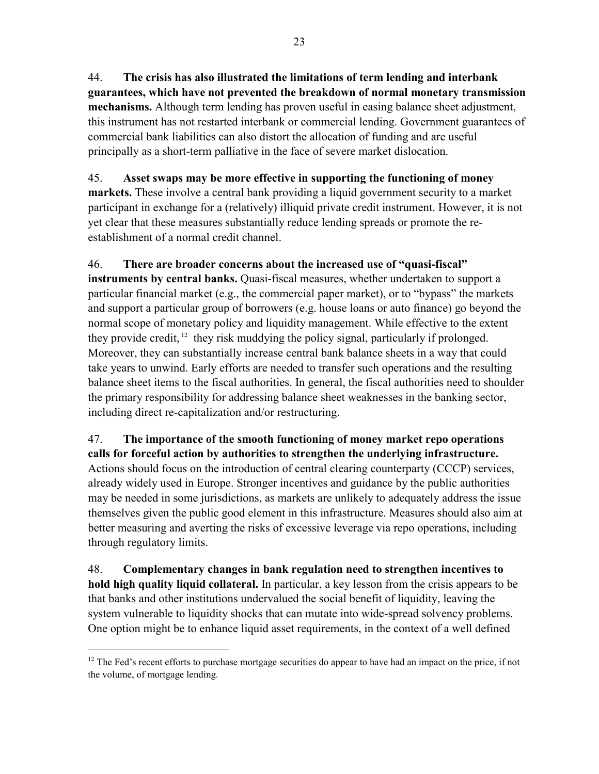44. **The crisis has also illustrated the limitations of term lending and interbank guarantees, which have not prevented the breakdown of normal monetary transmission mechanisms.** Although term lending has proven useful in easing balance sheet adjustment, this instrument has not restarted interbank or commercial lending. Government guarantees of commercial bank liabilities can also distort the allocation of funding and are useful principally as a short-term palliative in the face of severe market dislocation.

# 45. **Asset swaps may be more effective in supporting the functioning of money**

**markets.** These involve a central bank providing a liquid government security to a market participant in exchange for a (relatively) illiquid private credit instrument. However, it is not yet clear that these measures substantially reduce lending spreads or promote the reestablishment of a normal credit channel.

46. **There are broader concerns about the increased use of "quasi-fiscal" instruments by central banks.** Quasi-fiscal measures, whether undertaken to support a particular financial market (e.g., the commercial paper market), or to "bypass" the markets and support a particular group of borrowers (e.g. house loans or auto finance) go beyond the normal scope of monetary policy and liquidity management. While effective to the extent they provide credit,  $12$  they risk muddying the policy signal, particularly if prolonged. Moreover, they can substantially increase central bank balance sheets in a way that could take years to unwind. Early efforts are needed to transfer such operations and the resulting balance sheet items to the fiscal authorities. In general, the fiscal authorities need to shoulder the primary responsibility for addressing balance sheet weaknesses in the banking sector, including direct re-capitalization and/or restructuring.

# 47. **The importance of the smooth functioning of money market repo operations calls for forceful action by authorities to strengthen the underlying infrastructure.** Actions should focus on the introduction of central clearing counterparty (CCCP) services, already widely used in Europe. Stronger incentives and guidance by the public authorities may be needed in some jurisdictions, as markets are unlikely to adequately address the issue themselves given the public good element in this infrastructure. Measures should also aim at better measuring and averting the risks of excessive leverage via repo operations, including through regulatory limits.

48. **Complementary changes in bank regulation need to strengthen incentives to hold high quality liquid collateral.** In particular, a key lesson from the crisis appears to be that banks and other institutions undervalued the social benefit of liquidity, leaving the system vulnerable to liquidity shocks that can mutate into wide-spread solvency problems. One option might be to enhance liquid asset requirements, in the context of a well defined

<sup>&</sup>lt;sup>12</sup> The Fed's recent efforts to purchase mortgage securities do appear to have had an impact on the price, if not the volume, of mortgage lending.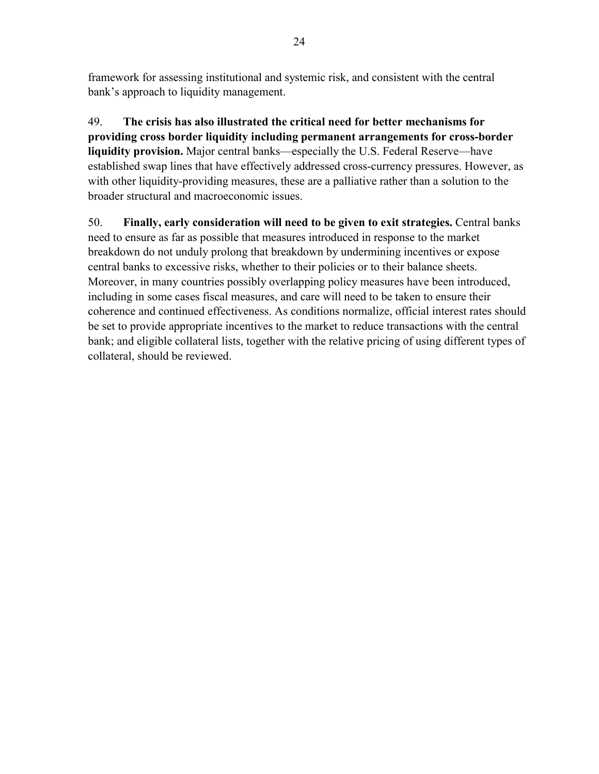framework for assessing institutional and systemic risk, and consistent with the central bank's approach to liquidity management.

49. **The crisis has also illustrated the critical need for better mechanisms for providing cross border liquidity including permanent arrangements for cross-border liquidity provision.** Major central banks—especially the U.S. Federal Reserve—have established swap lines that have effectively addressed cross-currency pressures. However, as with other liquidity-providing measures, these are a palliative rather than a solution to the broader structural and macroeconomic issues.

50. **Finally, early consideration will need to be given to exit strategies.** Central banks need to ensure as far as possible that measures introduced in response to the market breakdown do not unduly prolong that breakdown by undermining incentives or expose central banks to excessive risks, whether to their policies or to their balance sheets. Moreover, in many countries possibly overlapping policy measures have been introduced, including in some cases fiscal measures, and care will need to be taken to ensure their coherence and continued effectiveness. As conditions normalize, official interest rates should be set to provide appropriate incentives to the market to reduce transactions with the central bank; and eligible collateral lists, together with the relative pricing of using different types of collateral, should be reviewed.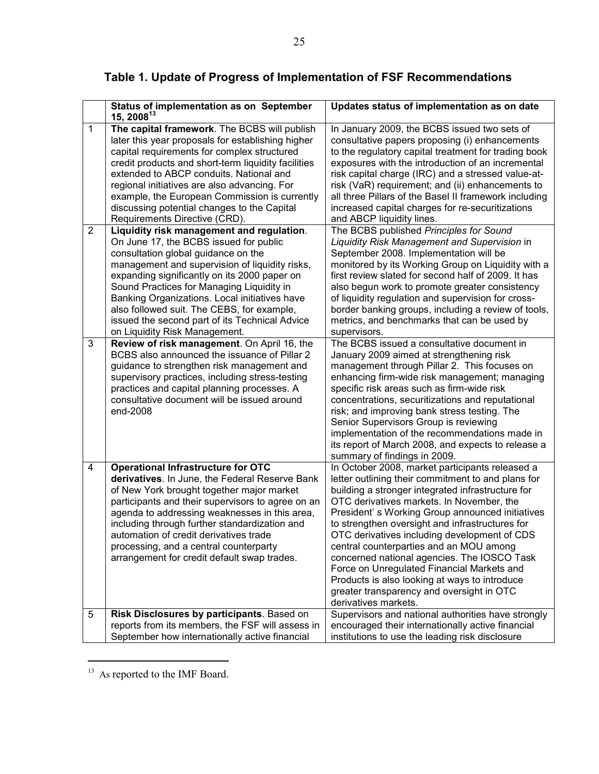|                | Status of implementation as on September<br>15, 2008 $13$                                                                                                                                                                                                                                                                                                                                                                                                   | Updates status of implementation as on date                                                                                                                                                                                                                                                                                                                                                                                                                                                                                                                                                                                 |
|----------------|-------------------------------------------------------------------------------------------------------------------------------------------------------------------------------------------------------------------------------------------------------------------------------------------------------------------------------------------------------------------------------------------------------------------------------------------------------------|-----------------------------------------------------------------------------------------------------------------------------------------------------------------------------------------------------------------------------------------------------------------------------------------------------------------------------------------------------------------------------------------------------------------------------------------------------------------------------------------------------------------------------------------------------------------------------------------------------------------------------|
| 1              | The capital framework. The BCBS will publish<br>later this year proposals for establishing higher<br>capital requirements for complex structured<br>credit products and short-term liquidity facilities<br>extended to ABCP conduits. National and<br>regional initiatives are also advancing. For<br>example, the European Commission is currently<br>discussing potential changes to the Capital<br>Requirements Directive (CRD).                         | In January 2009, the BCBS issued two sets of<br>consultative papers proposing (i) enhancements<br>to the regulatory capital treatment for trading book<br>exposures with the introduction of an incremental<br>risk capital charge (IRC) and a stressed value-at-<br>risk (VaR) requirement; and (ii) enhancements to<br>all three Pillars of the Basel II framework including<br>increased capital charges for re-securitizations<br>and ABCP liquidity lines.                                                                                                                                                             |
| $\overline{2}$ | Liquidity risk management and regulation.<br>On June 17, the BCBS issued for public<br>consultation global guidance on the<br>management and supervision of liquidity risks,<br>expanding significantly on its 2000 paper on<br>Sound Practices for Managing Liquidity in<br>Banking Organizations. Local initiatives have<br>also followed suit. The CEBS, for example,<br>issued the second part of its Technical Advice<br>on Liquidity Risk Management. | The BCBS published Principles for Sound<br>Liquidity Risk Management and Supervision in<br>September 2008. Implementation will be<br>monitored by its Working Group on Liquidity with a<br>first review slated for second half of 2009. It has<br>also begun work to promote greater consistency<br>of liquidity regulation and supervision for cross-<br>border banking groups, including a review of tools,<br>metrics, and benchmarks that can be used by<br>supervisors.                                                                                                                                                |
| 3              | Review of risk management. On April 16, the<br>BCBS also announced the issuance of Pillar 2<br>guidance to strengthen risk management and<br>supervisory practices, including stress-testing<br>practices and capital planning processes. A<br>consultative document will be issued around<br>end-2008                                                                                                                                                      | The BCBS issued a consultative document in<br>January 2009 aimed at strengthening risk<br>management through Pillar 2. This focuses on<br>enhancing firm-wide risk management; managing<br>specific risk areas such as firm-wide risk<br>concentrations, securitizations and reputational<br>risk; and improving bank stress testing. The<br>Senior Supervisors Group is reviewing<br>implementation of the recommendations made in<br>its report of March 2008, and expects to release a<br>summary of findings in 2009.                                                                                                   |
| 4              | <b>Operational Infrastructure for OTC</b><br>derivatives. In June, the Federal Reserve Bank<br>of New York brought together major market<br>participants and their supervisors to agree on an<br>agenda to addressing weaknesses in this area,<br>including through further standardization and<br>automation of credit derivatives trade<br>processing, and a central counterparty<br>arrangement for credit default swap trades.                          | In October 2008, market participants released a<br>letter outlining their commitment to and plans for<br>building a stronger integrated infrastructure for<br>OTC derivatives markets. In November, the<br>President's Working Group announced initiatives<br>to strengthen oversight and infrastructures for<br>OTC derivatives including development of CDS<br>central counterparties and an MOU among<br>concerned national agencies. The IOSCO Task<br>Force on Unregulated Financial Markets and<br>Products is also looking at ways to introduce<br>greater transparency and oversight in OTC<br>derivatives markets. |
| 5              | Risk Disclosures by participants. Based on<br>reports from its members, the FSF will assess in<br>September how internationally active financial                                                                                                                                                                                                                                                                                                            | Supervisors and national authorities have strongly<br>encouraged their internationally active financial<br>institutions to use the leading risk disclosure                                                                                                                                                                                                                                                                                                                                                                                                                                                                  |

# **Table 1. Update of Progress of Implementation of FSF Recommendations**

<sup>13</sup> As reported to the IMF Board.

 $\overline{\phantom{a}}$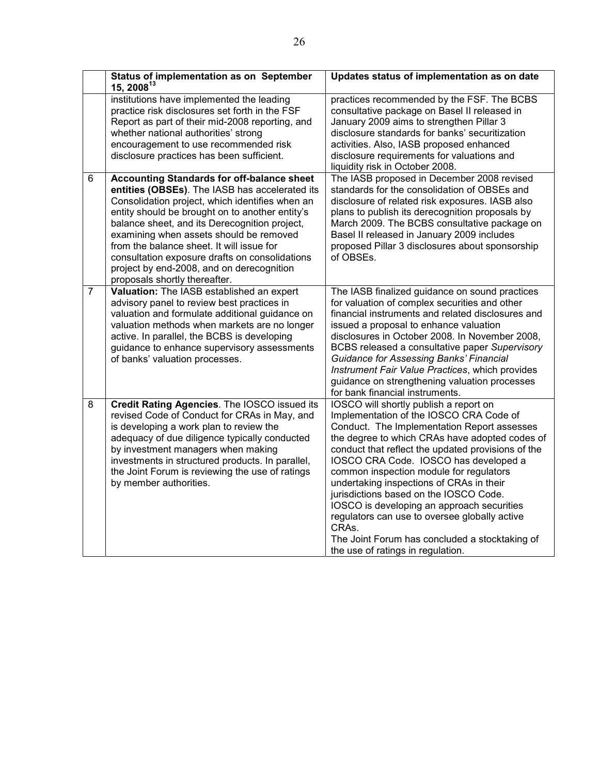|                | Status of implementation as on September<br>15, 200813                                                                                                                                                                                                                                                                                                                                                                                                                             | Updates status of implementation as on date                                                                                                                                                                                                                                                                                                                                                                                                                                                                                                                                                                       |
|----------------|------------------------------------------------------------------------------------------------------------------------------------------------------------------------------------------------------------------------------------------------------------------------------------------------------------------------------------------------------------------------------------------------------------------------------------------------------------------------------------|-------------------------------------------------------------------------------------------------------------------------------------------------------------------------------------------------------------------------------------------------------------------------------------------------------------------------------------------------------------------------------------------------------------------------------------------------------------------------------------------------------------------------------------------------------------------------------------------------------------------|
|                | institutions have implemented the leading<br>practice risk disclosures set forth in the FSF<br>Report as part of their mid-2008 reporting, and<br>whether national authorities' strong<br>encouragement to use recommended risk<br>disclosure practices has been sufficient.                                                                                                                                                                                                       | practices recommended by the FSF. The BCBS<br>consultative package on Basel II released in<br>January 2009 aims to strengthen Pillar 3<br>disclosure standards for banks' securitization<br>activities. Also, IASB proposed enhanced<br>disclosure requirements for valuations and<br>liquidity risk in October 2008.                                                                                                                                                                                                                                                                                             |
| 6              | <b>Accounting Standards for off-balance sheet</b><br>entities (OBSEs). The IASB has accelerated its<br>Consolidation project, which identifies when an<br>entity should be brought on to another entity's<br>balance sheet, and its Derecognition project,<br>examining when assets should be removed<br>from the balance sheet. It will issue for<br>consultation exposure drafts on consolidations<br>project by end-2008, and on derecognition<br>proposals shortly thereafter. | The IASB proposed in December 2008 revised<br>standards for the consolidation of OBSEs and<br>disclosure of related risk exposures. IASB also<br>plans to publish its derecognition proposals by<br>March 2009. The BCBS consultative package on<br>Basel II released in January 2009 includes<br>proposed Pillar 3 disclosures about sponsorship<br>of OBSEs.                                                                                                                                                                                                                                                    |
| $\overline{7}$ | Valuation: The IASB established an expert<br>advisory panel to review best practices in<br>valuation and formulate additional guidance on<br>valuation methods when markets are no longer<br>active. In parallel, the BCBS is developing<br>guidance to enhance supervisory assessments<br>of banks' valuation processes.                                                                                                                                                          | The IASB finalized guidance on sound practices<br>for valuation of complex securities and other<br>financial instruments and related disclosures and<br>issued a proposal to enhance valuation<br>disclosures in October 2008. In November 2008,<br>BCBS released a consultative paper Supervisory<br><b>Guidance for Assessing Banks' Financial</b><br>Instrument Fair Value Practices, which provides<br>guidance on strengthening valuation processes<br>for bank financial instruments.                                                                                                                       |
| 8              | Credit Rating Agencies. The IOSCO issued its<br>revised Code of Conduct for CRAs in May, and<br>is developing a work plan to review the<br>adequacy of due diligence typically conducted<br>by investment managers when making<br>investments in structured products. In parallel,<br>the Joint Forum is reviewing the use of ratings<br>by member authorities.                                                                                                                    | IOSCO will shortly publish a report on<br>Implementation of the IOSCO CRA Code of<br>Conduct. The Implementation Report assesses<br>the degree to which CRAs have adopted codes of<br>conduct that reflect the updated provisions of the<br>IOSCO CRA Code. IOSCO has developed a<br>common inspection module for regulators<br>undertaking inspections of CRAs in their<br>jurisdictions based on the IOSCO Code.<br>IOSCO is developing an approach securities<br>regulators can use to oversee globally active<br>CRAs.<br>The Joint Forum has concluded a stocktaking of<br>the use of ratings in regulation. |